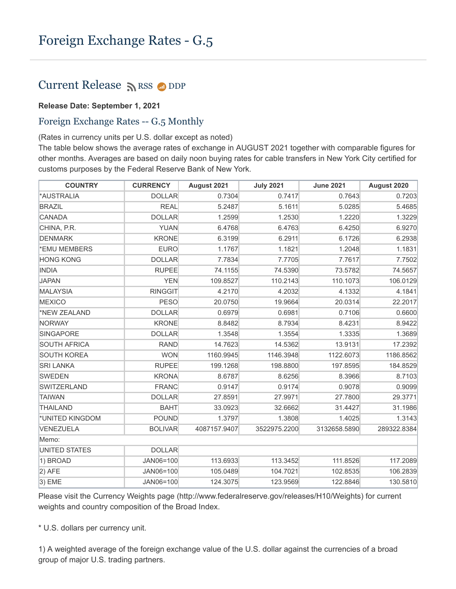## Current Release  $\sum$  [RSS](https://www.federalreserve.gov/feeds)  $\bigcirc$  [DDP](https://www.federalreserve.gov/datadownload/Choose.aspx?rel=H10)

## **Release Date: September 1, 2021**

## Foreign Exchange Rates -- G.5 Monthly

(Rates in currency units per U.S. dollar except as noted)

The table below shows the average rates of exchange in AUGUST 2021 together with comparable figures for other months. Averages are based on daily noon buying rates for cable transfers in New York City certified for customs purposes by the Federal Reserve Bank of New York.

| <b>COUNTRY</b>      | <b>CURRENCY</b> | August 2021  | <b>July 2021</b> | <b>June 2021</b> | August 2020 |
|---------------------|-----------------|--------------|------------------|------------------|-------------|
| *AUSTRALIA          | <b>DOLLAR</b>   | 0.7304       | 0.7417           | 0.7643           | 0.7203      |
| <b>BRAZIL</b>       | <b>REAL</b>     | 5.2487       | 5.1611           | 5.0285           | 5.4685      |
| CANADA              | <b>DOLLAR</b>   | 1.2599       | 1.2530           | 1.2220           | 1.3229      |
| CHINA, P.R.         | <b>YUAN</b>     | 6.4768       | 6.4763           | 6.4250           | 6.9270      |
| <b>DENMARK</b>      | <b>KRONE</b>    | 6.3199       | 6.2911           | 6.1726           | 6.2938      |
| *EMU MEMBERS        | <b>EURO</b>     | 1.1767       | 1.1821           | 1.2048           | 1.1831      |
| <b>HONG KONG</b>    | <b>DOLLAR</b>   | 7.7834       | 7.7705           | 7.7617           | 7.7502      |
| <b>INDIA</b>        | <b>RUPEE</b>    | 74.1155      | 74.5390          | 73.5782          | 74.5657     |
| <b>JAPAN</b>        | <b>YEN</b>      | 109.8527     | 110.2143         | 110.1073         | 106.0129    |
| MALAYSIA            | <b>RINGGIT</b>  | 4.2170       | 4.2032           | 4.1332           | 4.1841      |
| <b>MEXICO</b>       | <b>PESO</b>     | 20.0750      | 19.9664          | 20.0314          | 22.2017     |
| *NEW ZEALAND        | <b>DOLLAR</b>   | 0.6979       | 0.6981           | 0.7106           | 0.6600      |
| NORWAY              | <b>KRONE</b>    | 8.8482       | 8.7934           | 8.4231           | 8.9422      |
| SINGAPORE           | <b>DOLLAR</b>   | 1.3548       | 1.3554           | 1.3335           | 1.3689      |
| <b>SOUTH AFRICA</b> | <b>RAND</b>     | 14.7623      | 14.5362          | 13.9131          | 17.2392     |
| <b>SOUTH KOREA</b>  | <b>WON</b>      | 1160.9945    | 1146.3948        | 1122.6073        | 1186.8562   |
| <b>SRI LANKA</b>    | <b>RUPEE</b>    | 199.1268     | 198.8800         | 197.8595         | 184.8529    |
| SWEDEN              | <b>KRONA</b>    | 8.6787       | 8.6256           | 8.3966           | 8.7103      |
| <b>SWITZERLAND</b>  | <b>FRANC</b>    | 0.9147       | 0.9174           | 0.9078           | 0.9099      |
| <b>TAIWAN</b>       | <b>DOLLAR</b>   | 27.8591      | 27.9971          | 27.7800          | 29.3771     |
| <b>THAILAND</b>     | <b>BAHT</b>     | 33.0923      | 32.6662          | 31.4427          | 31.1986     |
| *UNITED KINGDOM     | <b>POUND</b>    | 1.3797       | 1.3808           | 1.4025           | 1.3143      |
| VENEZUELA           | <b>BOLIVAR</b>  | 4087157.9407 | 3522975.2200     | 3132658.5890     | 289322.8384 |
| Memo:               |                 |              |                  |                  |             |
| UNITED STATES       | <b>DOLLAR</b>   |              |                  |                  |             |
| 1) BROAD            | JAN06=100       | 113.6933     | 113.3452         | 111.8526         | 117.2089    |
| $ 2)$ AFE           | JAN06=100       | 105.0489     | 104.7021         | 102.8535         | 106.2839    |
| $ 3)$ EME           | JAN06=100       | 124.3075     | 123.9569         | 122.8846         | 130.5810    |

Please visit the Currency Weights page (http://www.federalreserve.gov/releases/H10/Weights) for current weights and country composition of the Broad Index.

\* U.S. dollars per currency unit.

1) A weighted average of the foreign exchange value of the U.S. dollar against the currencies of a broad group of major U.S. trading partners.